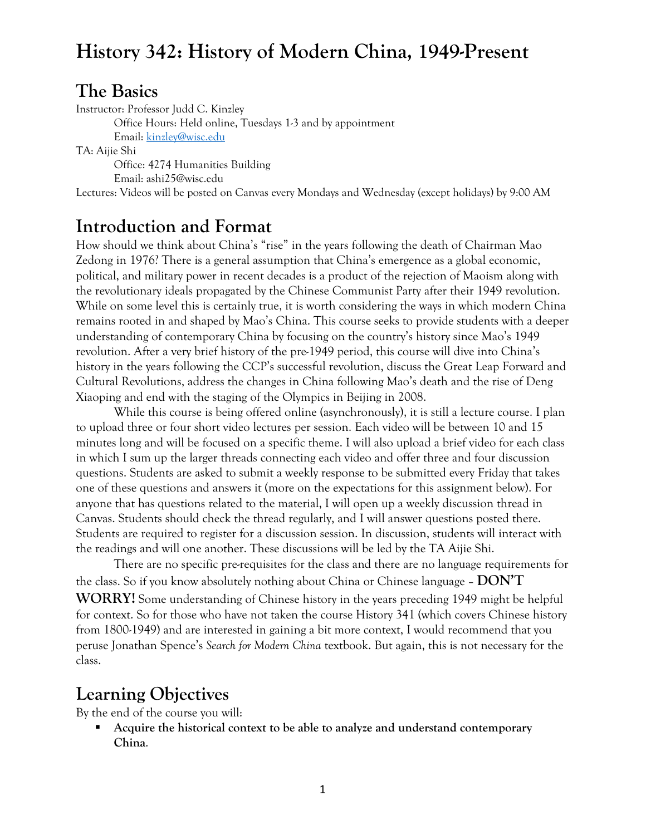### **The Basics**

Instructor: Professor Judd C. Kinzley Office Hours: Held online, Tuesdays 1-3 and by appointment Email: kinzley@wisc.edu TA: Aijie Shi Office: 4274 Humanities Building Email: ashi25@wisc.edu Lectures: Videos will be posted on Canvas every Mondays and Wednesday (except holidays) by 9:00 AM

## **Introduction and Format**

How should we think about China's "rise" in the years following the death of Chairman Mao Zedong in 1976? There is a general assumption that China's emergence as a global economic, political, and military power in recent decades is a product of the rejection of Maoism along with the revolutionary ideals propagated by the Chinese Communist Party after their 1949 revolution. While on some level this is certainly true, it is worth considering the ways in which modern China remains rooted in and shaped by Mao's China. This course seeks to provide students with a deeper understanding of contemporary China by focusing on the country's history since Mao's 1949 revolution. After a very brief history of the pre-1949 period, this course will dive into China's history in the years following the CCP's successful revolution, discuss the Great Leap Forward and Cultural Revolutions, address the changes in China following Mao's death and the rise of Deng Xiaoping and end with the staging of the Olympics in Beijing in 2008.

While this course is being offered online (asynchronously), it is still a lecture course. I plan to upload three or four short video lectures per session. Each video will be between 10 and 15 minutes long and will be focused on a specific theme. I will also upload a brief video for each class in which I sum up the larger threads connecting each video and offer three and four discussion questions. Students are asked to submit a weekly response to be submitted every Friday that takes one of these questions and answers it (more on the expectations for this assignment below). For anyone that has questions related to the material, I will open up a weekly discussion thread in Canvas. Students should check the thread regularly, and I will answer questions posted there. Students are required to register for a discussion session. In discussion, students will interact with the readings and will one another. These discussions will be led by the TA Aijie Shi.

There are no specific pre-requisites for the class and there are no language requirements for the class. So if you know absolutely nothing about China or Chinese language – **DON'T WORRY!** Some understanding of Chinese history in the years preceding 1949 might be helpful for context. So for those who have not taken the course History 341 (which covers Chinese history from 1800-1949) and are interested in gaining a bit more context, I would recommend that you peruse Jonathan Spence's *Search for Modern China* textbook. But again, this is not necessary for the class.

### **Learning Objectives**

By the end of the course you will:

 **Acquire the historical context to be able to analyze and understand contemporary China**.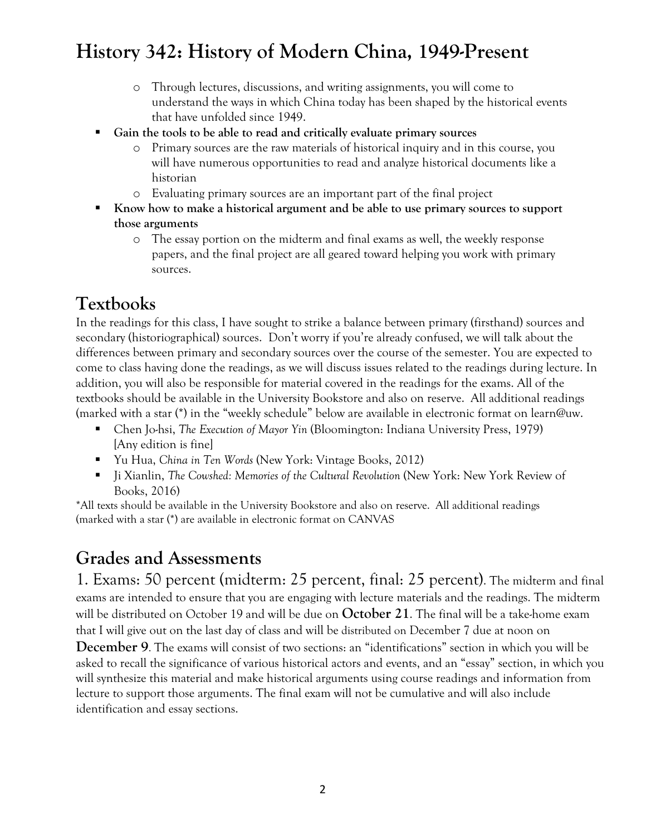- o Through lectures, discussions, and writing assignments, you will come to understand the ways in which China today has been shaped by the historical events that have unfolded since 1949.
- **Gain the tools to be able to read and critically evaluate primary sources** 
	- o Primary sources are the raw materials of historical inquiry and in this course, you will have numerous opportunities to read and analyze historical documents like a historian
	- o Evaluating primary sources are an important part of the final project
- **Know how to make a historical argument and be able to use primary sources to support those arguments** 
	- o The essay portion on the midterm and final exams as well, the weekly response papers, and the final project are all geared toward helping you work with primary sources.

## **Textbooks**

In the readings for this class, I have sought to strike a balance between primary (firsthand) sources and secondary (historiographical) sources. Don't worry if you're already confused, we will talk about the differences between primary and secondary sources over the course of the semester. You are expected to come to class having done the readings, as we will discuss issues related to the readings during lecture. In addition, you will also be responsible for material covered in the readings for the exams. All of the textbooks should be available in the University Bookstore and also on reserve. All additional readings (marked with a star (\*) in the "weekly schedule" below are available in electronic format on learn@uw.

- Chen Jo-hsi, *The Execution of Mayor Yin* (Bloomington: Indiana University Press, 1979) [Any edition is fine]
- Yu Hua, *China in Ten Words* (New York: Vintage Books, 2012)
- Ji Xianlin, *The Cowshed: Memories of the Cultural Revolution* (New York: New York Review of Books, 2016)

\*All texts should be available in the University Bookstore and also on reserve. All additional readings (marked with a star (\*) are available in electronic format on CANVAS

### **Grades and Assessments**

1. Exams: 50 percent (midterm: 25 percent, final: 25 percent). The midterm and final exams are intended to ensure that you are engaging with lecture materials and the readings. The midterm will be distributed on October 19 and will be due on **October 21**. The final will be a take-home exam that I will give out on the last day of class and will be distributed on December 7 due at noon on

**December 9**. The exams will consist of two sections: an "identifications" section in which you will be asked to recall the significance of various historical actors and events, and an "essay" section, in which you will synthesize this material and make historical arguments using course readings and information from lecture to support those arguments. The final exam will not be cumulative and will also include identification and essay sections.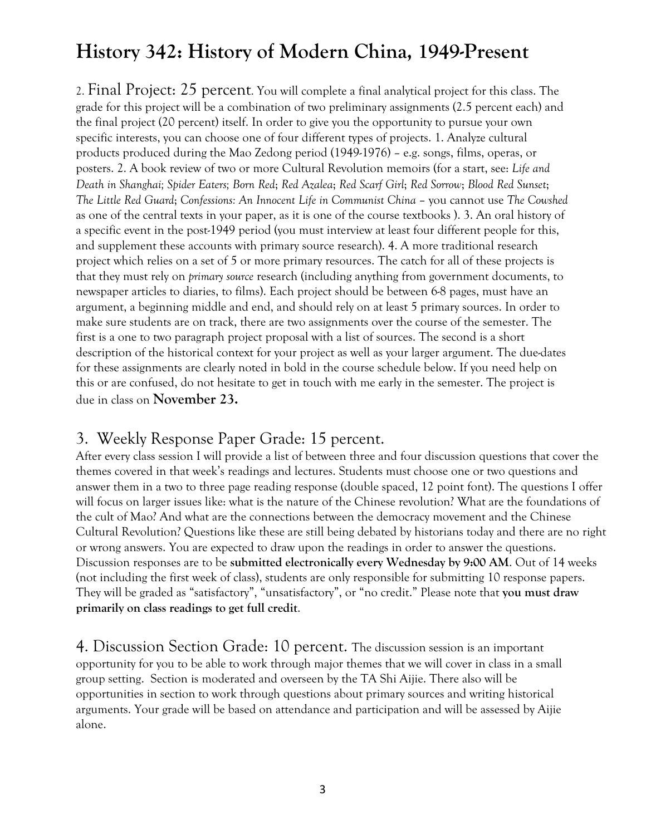2. Final Project: 25 percent. You will complete a final analytical project for this class. The grade for this project will be a combination of two preliminary assignments (2.5 percent each) and the final project (20 percent) itself. In order to give you the opportunity to pursue your own specific interests, you can choose one of four different types of projects. 1. Analyze cultural products produced during the Mao Zedong period (1949-1976) – e.g. songs, films, operas, or posters. 2. A book review of two or more Cultural Revolution memoirs (for a start, see: *Life and Death in Shanghai; Spider Eaters; Born Red*; *Red Azalea*; *Red Scarf Girl*; *Red Sorrow*; *Blood Red Sunset*; *The Little Red Guard*; *Confessions: An Innocent Life in Communist China* – you cannot use *The Cowshed* as one of the central texts in your paper, as it is one of the course textbooks ). 3. An oral history of a specific event in the post-1949 period (you must interview at least four different people for this, and supplement these accounts with primary source research). 4. A more traditional research project which relies on a set of 5 or more primary resources. The catch for all of these projects is that they must rely on *primary source* research (including anything from government documents, to newspaper articles to diaries, to films). Each project should be between 6-8 pages, must have an argument, a beginning middle and end, and should rely on at least 5 primary sources. In order to make sure students are on track, there are two assignments over the course of the semester. The first is a one to two paragraph project proposal with a list of sources. The second is a short description of the historical context for your project as well as your larger argument. The due-dates for these assignments are clearly noted in bold in the course schedule below. If you need help on this or are confused, do not hesitate to get in touch with me early in the semester. The project is due in class on **November 23.** 

### 3. Weekly Response Paper Grade: 15 percent.

After every class session I will provide a list of between three and four discussion questions that cover the themes covered in that week's readings and lectures. Students must choose one or two questions and answer them in a two to three page reading response (double spaced, 12 point font). The questions I offer will focus on larger issues like: what is the nature of the Chinese revolution? What are the foundations of the cult of Mao? And what are the connections between the democracy movement and the Chinese Cultural Revolution? Questions like these are still being debated by historians today and there are no right or wrong answers. You are expected to draw upon the readings in order to answer the questions. Discussion responses are to be **submitted electronically every Wednesday by 9:00 AM**. Out of 14 weeks (not including the first week of class), students are only responsible for submitting 10 response papers. They will be graded as "satisfactory", "unsatisfactory", or "no credit." Please note that **you must draw primarily on class readings to get full credit**.

4. Discussion Section Grade: 10 percent. The discussion session is an important opportunity for you to be able to work through major themes that we will cover in class in a small group setting. Section is moderated and overseen by the TA Shi Aijie. There also will be opportunities in section to work through questions about primary sources and writing historical arguments. Your grade will be based on attendance and participation and will be assessed by Aijie alone.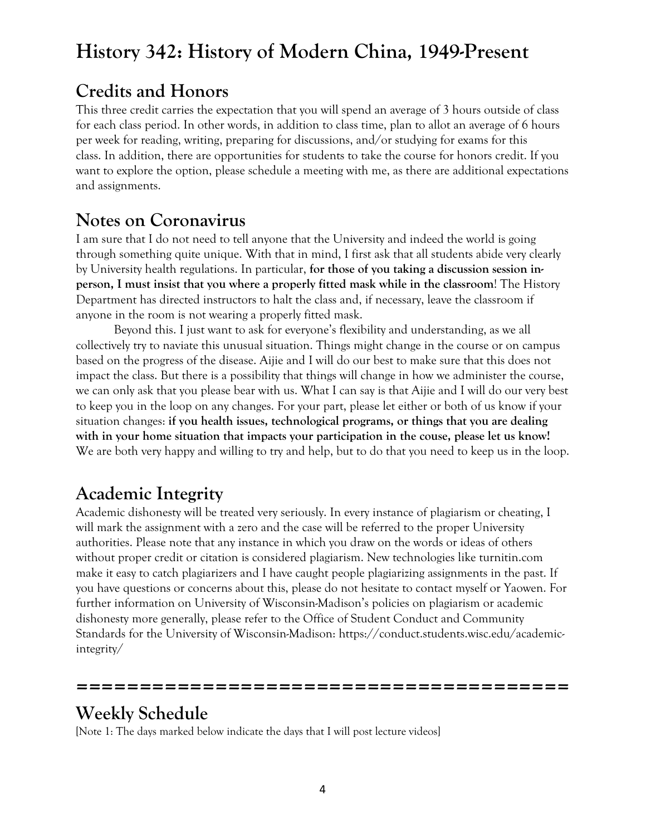## **Credits and Honors**

This three credit carries the expectation that you will spend an average of 3 hours outside of class for each class period. In other words, in addition to class time, plan to allot an average of 6 hours per week for reading, writing, preparing for discussions, and/or studying for exams for this class. In addition, there are opportunities for students to take the course for honors credit. If you want to explore the option, please schedule a meeting with me, as there are additional expectations and assignments.

## **Notes on Coronavirus**

I am sure that I do not need to tell anyone that the University and indeed the world is going through something quite unique. With that in mind, I first ask that all students abide very clearly by University health regulations. In particular, **for those of you taking a discussion session inperson, I must insist that you where a properly fitted mask while in the classroom**! The History Department has directed instructors to halt the class and, if necessary, leave the classroom if anyone in the room is not wearing a properly fitted mask.

Beyond this. I just want to ask for everyone's flexibility and understanding, as we all collectively try to naviate this unusual situation. Things might change in the course or on campus based on the progress of the disease. Aijie and I will do our best to make sure that this does not impact the class. But there is a possibility that things will change in how we administer the course, we can only ask that you please bear with us. What I can say is that Aijie and I will do our very best to keep you in the loop on any changes. For your part, please let either or both of us know if your situation changes: **if you health issues, technological programs, or things that you are dealing with in your home situation that impacts your participation in the couse, please let us know!** We are both very happy and willing to try and help, but to do that you need to keep us in the loop.

## **Academic Integrity**

Academic dishonesty will be treated very seriously. In every instance of plagiarism or cheating, I will mark the assignment with a zero and the case will be referred to the proper University authorities. Please note that any instance in which you draw on the words or ideas of others without proper credit or citation is considered plagiarism. New technologies like turnitin.com make it easy to catch plagiarizers and I have caught people plagiarizing assignments in the past. If you have questions or concerns about this, please do not hesitate to contact myself or Yaowen. For further information on University of Wisconsin-Madison's policies on plagiarism or academic dishonesty more generally, please refer to the Office of Student Conduct and Community Standards for the University of Wisconsin-Madison: https://conduct.students.wisc.edu/academicintegrity/

## **Weekly Schedule**

[Note 1: The days marked below indicate the days that I will post lecture videos]

**=======================================**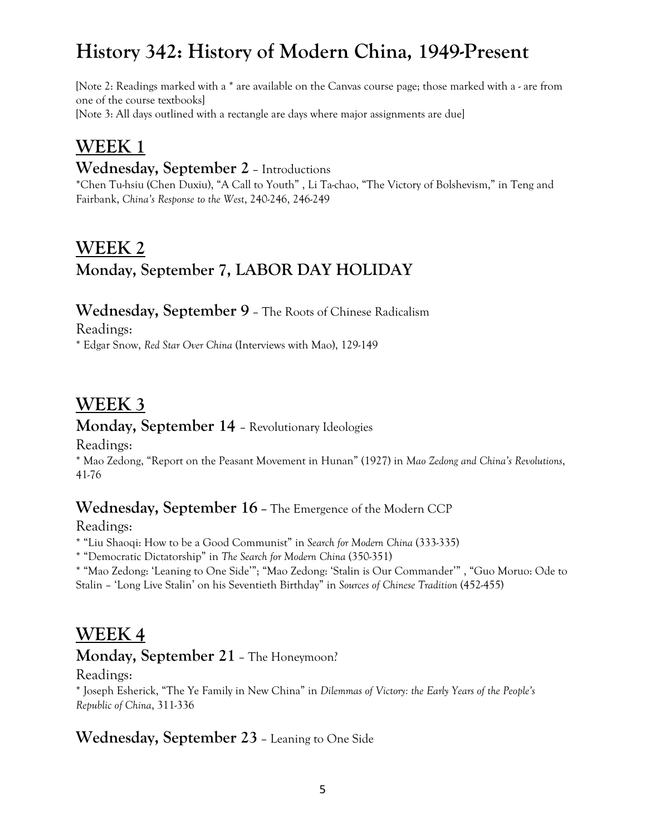[Note 2: Readings marked with a \* are available on the Canvas course page; those marked with a - are from one of the course textbooks] [Note 3: All days outlined with a rectangle are days where major assignments are due]

### **WEEK 1**

### **Wednesday, September 2** – Introductions

\*Chen Tu-hsiu (Chen Duxiu), "A Call to Youth" , Li Ta-chao, "The Victory of Bolshevism," in Teng and Fairbank, *China's Response to the West*, 240-246, 246-249

# **WEEK 2 Monday, September 7, LABOR DAY HOLIDAY**

#### **Wednesday, September 9** – The Roots of Chinese Radicalism

Readings:

\* Edgar Snow, *Red Star Over China* (Interviews with Mao), 129-149

## **WEEK 3**

#### **Monday, September 14** – Revolutionary Ideologies

Readings:

\* Mao Zedong, "Report on the Peasant Movement in Hunan" (1927) in *Mao Zedong and China's Revolutions*, 41-76

### **Wednesday, September 16 –** The Emergence of the Modern CCP

Readings:

\* "Liu Shaoqi: How to be a Good Communist" in *Search for Modern China* (333-335)

\* "Democratic Dictatorship" in *The Search for Modern China* (350-351)

\* "Mao Zedong: 'Leaning to One Side'"; "Mao Zedong: 'Stalin is Our Commander'" , "Guo Moruo: Ode to Stalin – 'Long Live Stalin' on his Seventieth Birthday" in *Sources of Chinese Tradition* (452-455)

## **WEEK 4**

#### **Monday, September 21** – The Honeymoon?

#### Readings:

\* Joseph Esherick, "The Ye Family in New China" in *Dilemmas of Victory: the Early Years of the People's Republic of China*, 311-336

### **Wednesday, September 23** – Leaning to One Side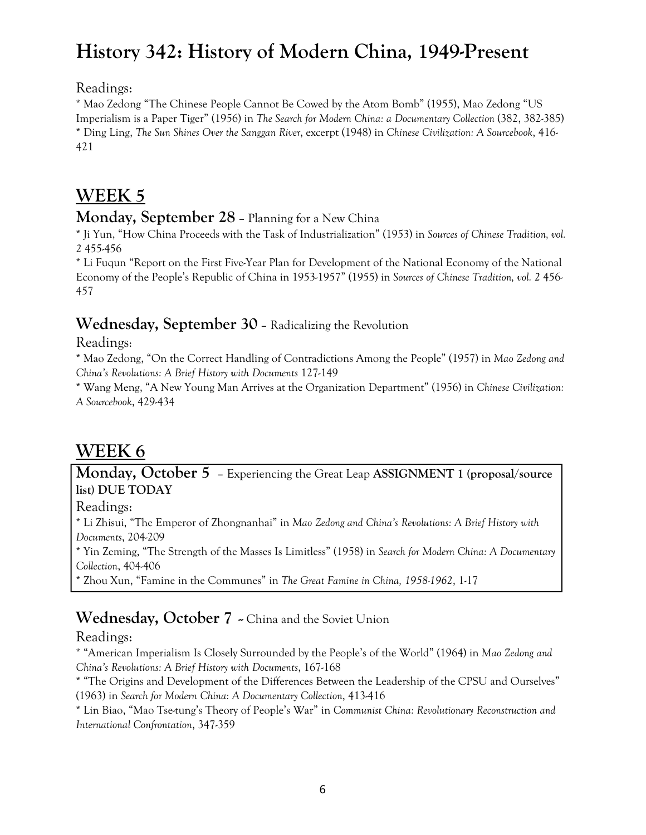Readings:

\* Mao Zedong "The Chinese People Cannot Be Cowed by the Atom Bomb" (1955), Mao Zedong "US Imperialism is a Paper Tiger" (1956) in *The Search for Modern China: a Documentary Collection* (382, 382-385) \* Ding Ling, *The Sun Shines Over the Sanggan River*, excerpt (1948) in *Chinese Civilization: A Sourcebook*, 416- 421

# **WEEK 5**

#### **Monday, September 28** – Planning for a New China

\* Ji Yun, "How China Proceeds with the Task of Industrialization" (1953) in *Sources of Chinese Tradition, vol. 2* 455-456

\* Li Fuqun "Report on the First Five-Year Plan for Development of the National Economy of the National Economy of the People's Republic of China in 1953-1957" (1955) in *Sources of Chinese Tradition, vol. 2* 456- 457

#### **Wednesday, September 30** – Radicalizing the Revolution

Readings:

\* Mao Zedong, "On the Correct Handling of Contradictions Among the People" (1957) in *Mao Zedong and China's Revolutions: A Brief History with Documents* 127-149

\* Wang Meng, "A New Young Man Arrives at the Organization Department" (1956) in *Chinese Civilization: A Sourcebook*, 429-434

# **WEEK 6**

**Monday, October 5** – Experiencing the Great Leap **ASSIGNMENT 1 (proposal/source list) DUE TODAY**

Readings:

\* Li Zhisui, "The Emperor of Zhongnanhai" in *Mao Zedong and China's Revolutions: A Brief History with Documents*, 204-209

\* Yin Zeming, "The Strength of the Masses Is Limitless" (1958) in *Search for Modern China: A Documentary Collection*, 404-406

\* Zhou Xun, "Famine in the Communes" in *The Great Famine in China, 1958-1962*, 1-17

### Wednesday, October 7 ~ China and the Soviet Union

Readings:

\* "American Imperialism Is Closely Surrounded by the People's of the World" (1964) in *Mao Zedong and China's Revolutions: A Brief History with Documents*, 167-168

\* "The Origins and Development of the Differences Between the Leadership of the CPSU and Ourselves" (1963) in *Search for Modern China: A Documentary Collection*, 413-416

\* Lin Biao, "Mao Tse-tung's Theory of People's War" in *Communist China: Revolutionary Reconstruction and International Confrontation*, 347-359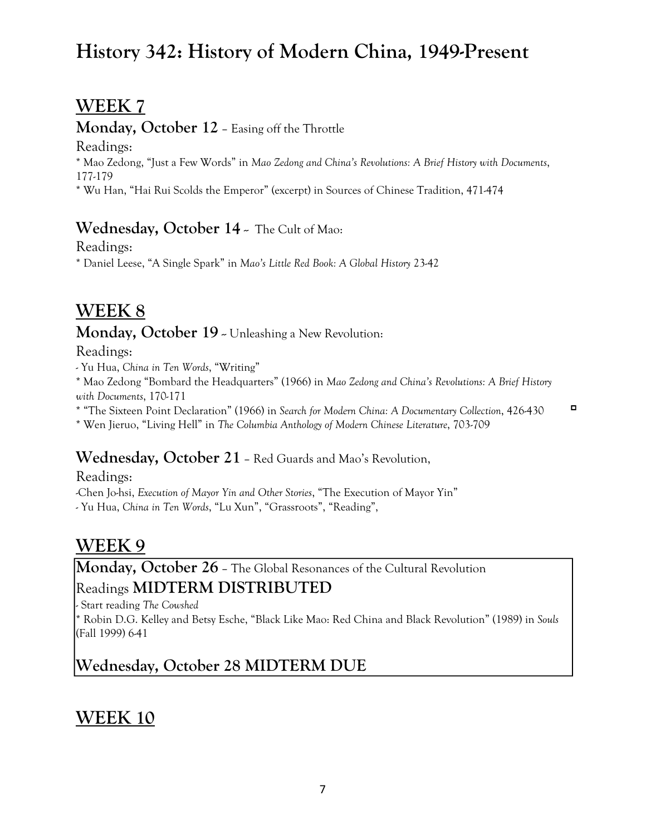## **WEEK 7**

#### **Monday, October 12** – Easing off the Throttle

Readings:

\* Mao Zedong, "Just a Few Words" in *Mao Zedong and China's Revolutions: A Brief History with Documents*, 177-179

\* Wu Han, "Hai Rui Scolds the Emperor" (excerpt) in Sources of Chinese Tradition, 471-474

### **Wednesday, October 14** - The Cult of Mao:

Readings:

\* Daniel Leese, "A Single Spark" in *Mao's Little Red Book: A Global History* 23-42

# **WEEK 8**

#### **Monday, October 19** - Unleashing a New Revolution:

Readings:

- Yu Hua, *China in Ten Words*, "Writing"

\* Mao Zedong "Bombard the Headquarters" (1966) in *Mao Zedong and China's Revolutions: A Brief History with Documents*, 170-171

 $\Box$ \* "The Sixteen Point Declaration" (1966) in *Search for Modern China: A Documentary Collection*, 426-430 \* Wen Jieruo, "Living Hell" in *The Columbia Anthology of Modern Chinese Literature*, 703-709

### **Wednesday, October 21** – Red Guards and Mao's Revolution,

Readings:

-Chen Jo-hsi, *Execution of Mayor Yin and Other Stories*, "The Execution of Mayor Yin"

- Yu Hua, *China in Ten Words*, "Lu Xun", "Grassroots", "Reading",

# **WEEK 9**

**Monday, October 26** – The Global Resonances of the Cultural Revolution

### Readings **MIDTERM DISTRIBUTED**

- Start reading *The Cowshed*

\* Robin D.G. Kelley and Betsy Esche, "Black Like Mao: Red China and Black Revolution" (1989) in *Souls* (Fall 1999) 6-41

# **Wednesday, October 28 MIDTERM DUE**

# **WEEK 10**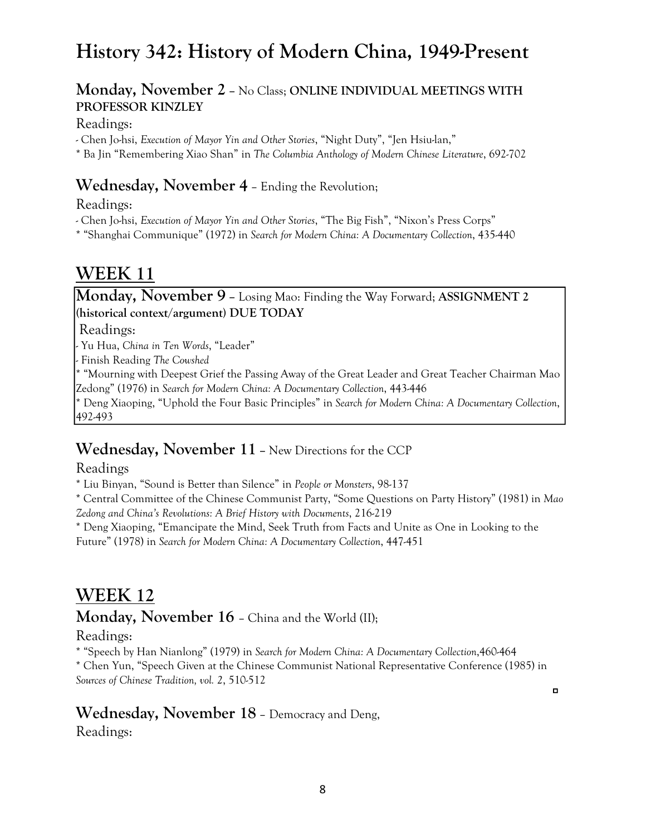#### **Monday, November 2 –** No Class; **ONLINE INDIVIDUAL MEETINGS WITH PROFESSOR KINZLEY**

#### Readings:

- Chen Jo-hsi, *Execution of Mayor Yin and Other Stories*, "Night Duty", "Jen Hsiu-lan,"

\* Ba Jin "Remembering Xiao Shan" in *The Columbia Anthology of Modern Chinese Literature*, 692-702

#### **Wednesday, November 4** – Ending the Revolution;

Readings:

- Chen Jo-hsi, *Execution of Mayor Yin and Other Stories*, "The Big Fish", "Nixon's Press Corps"

\* "Shanghai Communique" (1972) in *Search for Modern China: A Documentary Collection*, 435-440

### **WEEK 11**

### **Monday, November 9 –** Losing Mao: Finding the Way Forward; **ASSIGNMENT 2 (historical context/argument) DUE TODAY**

Readings:

- Yu Hua, *China in Ten Words*, "Leader"

- Finish Reading *The Cowshed*

\* "Mourning with Deepest Grief the Passing Away of the Great Leader and Great Teacher Chairman Mao Zedong" (1976) in *Search for Modern China: A Documentary Collection*, 443-446

\* Deng Xiaoping, "Uphold the Four Basic Principles" in *Search for Modern China: A Documentary Collection*, 492-493

### **Wednesday, November 11 –** New Directions for the CCP

Readings

\* Liu Binyan, "Sound is Better than Silence" in *People or Monsters*, 98-137

\* Central Committee of the Chinese Communist Party, "Some Questions on Party History" (1981) in *Mao Zedong and China's Revolutions: A Brief History with Documents*, 216-219

\* Deng Xiaoping, "Emancipate the Mind, Seek Truth from Facts and Unite as One in Looking to the Future" (1978) in *Search for Modern China: A Documentary Collection*, 447-451

### **WEEK 12**

**Monday, November 16** – China and the World (II);

#### Readings:

\* "Speech by Han Nianlong" (1979) in *Search for Modern China: A Documentary Collection*,460-464

\* Chen Yun, "Speech Given at the Chinese Communist National Representative Conference (1985) in *Sources of Chinese Tradition, vol. 2*, 510-512

 $\Box$ 

#### **Wednesday, November 18** – Democracy and Deng,

Readings: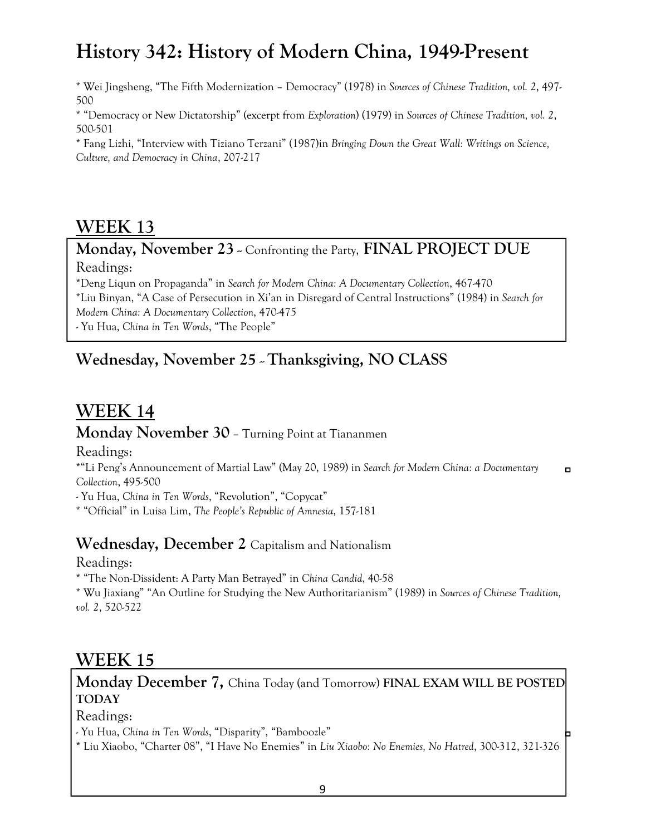\* Wei Jingsheng, "The Fifth Modernization – Democracy" (1978) in *Sources of Chinese Tradition, vol. 2*, 497- 500

\* "Democracy or New Dictatorship" (excerpt from *Exploration*) (1979) in *Sources of Chinese Tradition, vol. 2*, 500-501

\* Fang Lizhi, "Interview with Tiziano Terzani" (1987)in *Bringing Down the Great Wall: Writings on Science, Culture, and Democracy in China*, 207-217

### **WEEK 13**

**Monday, November 23 - Confronting the Party, FINAL PROJECT DUE** 

Readings:

\*Deng Liqun on Propaganda" in *Search for Modern China: A Documentary Collection*, 467-470

\*Liu Binyan, "A Case of Persecution in Xi'an in Disregard of Central Instructions" (1984) in *Search for Modern China: A Documentary Collection*, 470-475

- Yu Hua, *China in Ten Words*, "The People"

### Wednesday, November 25 - Thanksgiving, NO CLASS

# **WEEK 14**

#### **Monday November 30** – Turning Point at Tiananmen

Readings:

\*"Li Peng's Announcement of Martial Law" (May 20, 1989) in *Search for Modern China: a Documentary*   $\blacksquare$ *Collection*, 495-500

- Yu Hua, *China in Ten Words*, "Revolution", "Copycat"

\* "Official" in Luisa Lim, *The People's Republic of Amnesia*, 157-181

#### **Wednesday, December 2** Capitalism and Nationalism

Readings:

\* "The Non-Dissident: A Party Man Betrayed" in *China Candid*, 40-58

\* Wu Jiaxiang" "An Outline for Studying the New Authoritarianism" (1989) in *Sources of Chinese Tradition, vol. 2*, 520-522

### **WEEK 15**

### **Monday December 7,** China Today (and Tomorrow) **FINAL EXAM WILL BE POSTED TODAY**

Readings:

- Yu Hua, *China in Ten Words*, "Disparity", "Bamboozle"

\* Liu Xiaobo, "Charter 08", "I Have No Enemies" in *Liu Xiaobo: No Enemies, No Hatred*, 300-312, 321-326